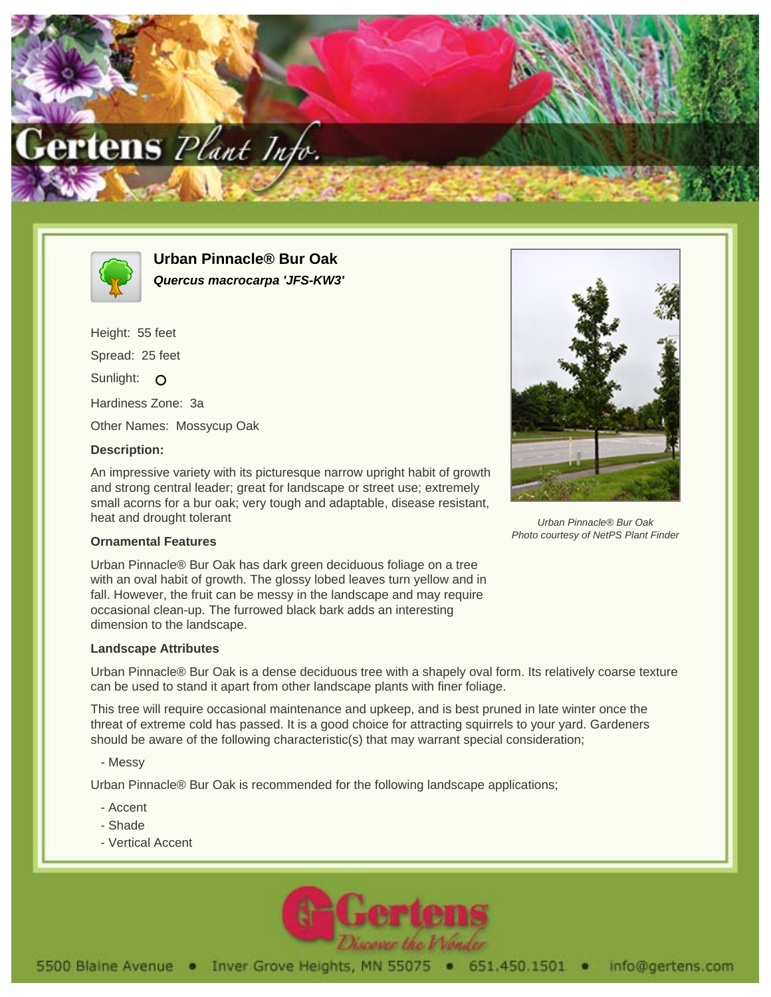



**Urban Pinnacle® Bur Oak Quercus macrocarpa 'JFS-KW3'**

Height: 55 feet Spread: 25 feet Sunlight: O Hardiness Zone: 3a Other Names: Mossycup Oak

## **Description:**

An impressive variety with its picturesque narrow upright habit of growth and strong central leader; great for landscape or street use; extremely small acorns for a bur oak; very tough and adaptable, disease resistant, heat and drought tolerant



Urban Pinnacle® Bur Oak Photo courtesy of NetPS Plant Finder

## **Ornamental Features**

Urban Pinnacle® Bur Oak has dark green deciduous foliage on a tree with an oval habit of growth. The glossy lobed leaves turn yellow and in fall. However, the fruit can be messy in the landscape and may require occasional clean-up. The furrowed black bark adds an interesting dimension to the landscape.

## **Landscape Attributes**

Urban Pinnacle® Bur Oak is a dense deciduous tree with a shapely oval form. Its relatively coarse texture can be used to stand it apart from other landscape plants with finer foliage.

This tree will require occasional maintenance and upkeep, and is best pruned in late winter once the threat of extreme cold has passed. It is a good choice for attracting squirrels to your yard. Gardeners should be aware of the following characteristic(s) that may warrant special consideration;

- Messy

Urban Pinnacle® Bur Oak is recommended for the following landscape applications;

- Accent
- Shade
- Vertical Accent